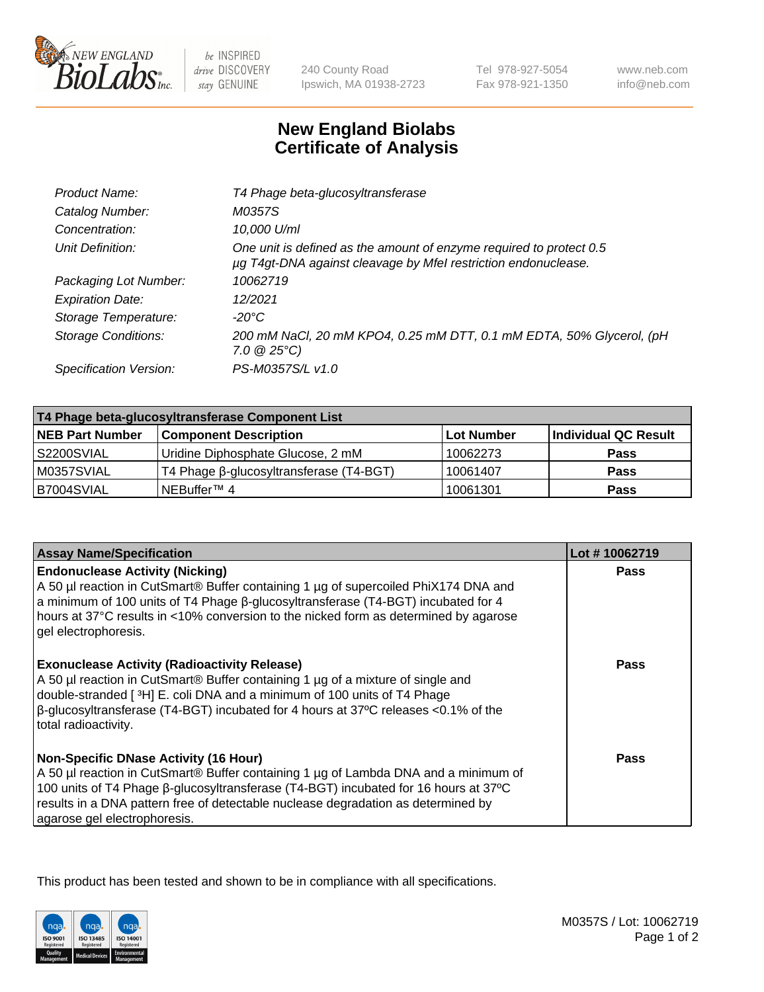

 $be$  INSPIRED drive DISCOVERY stay GENUINE

240 County Road Ipswich, MA 01938-2723 Tel 978-927-5054 Fax 978-921-1350 www.neb.com info@neb.com

## **New England Biolabs Certificate of Analysis**

| Product Name:              | T4 Phage beta-glucosyltransferase                                                                                                     |
|----------------------------|---------------------------------------------------------------------------------------------------------------------------------------|
| Catalog Number:            | M0357S                                                                                                                                |
| Concentration:             | 10,000 U/ml                                                                                                                           |
| Unit Definition:           | One unit is defined as the amount of enzyme required to protect 0.5<br>µg T4gt-DNA against cleavage by Mfel restriction endonuclease. |
| Packaging Lot Number:      | 10062719                                                                                                                              |
| <b>Expiration Date:</b>    | 12/2021                                                                                                                               |
| Storage Temperature:       | -20°C                                                                                                                                 |
| <b>Storage Conditions:</b> | 200 mM NaCl, 20 mM KPO4, 0.25 mM DTT, 0.1 mM EDTA, 50% Glycerol, (pH<br>$7.0 \ @ 25^{\circ}C$                                         |
| Specification Version:     | PS-M0357S/L v1.0                                                                                                                      |
|                            |                                                                                                                                       |

| T4 Phage beta-glucosyltransferase Component List |                                         |            |                      |  |
|--------------------------------------------------|-----------------------------------------|------------|----------------------|--|
| <b>NEB Part Number</b>                           | <b>Component Description</b>            | Lot Number | Individual QC Result |  |
| S2200SVIAL                                       | Uridine Diphosphate Glucose, 2 mM       | 10062273   | <b>Pass</b>          |  |
| M0357SVIAL                                       | T4 Phage β-glucosyltransferase (T4-BGT) | 10061407   | <b>Pass</b>          |  |
| B7004SVIAL                                       | NEBuffer <sup>™</sup> 4                 | 10061301   | Pass                 |  |

| <b>Assay Name/Specification</b>                                                                                                                                                                                                                                                                                                                     | Lot #10062719 |
|-----------------------------------------------------------------------------------------------------------------------------------------------------------------------------------------------------------------------------------------------------------------------------------------------------------------------------------------------------|---------------|
| <b>Endonuclease Activity (Nicking)</b><br>A 50 µl reaction in CutSmart® Buffer containing 1 µg of supercoiled PhiX174 DNA and<br>a minimum of 100 units of T4 Phage ß-glucosyltransferase (T4-BGT) incubated for 4<br>hours at 37°C results in <10% conversion to the nicked form as determined by agarose<br>gel electrophoresis.                  | <b>Pass</b>   |
| <b>Exonuclease Activity (Radioactivity Release)</b><br>A 50 µl reaction in CutSmart® Buffer containing 1 µg of a mixture of single and<br>double-stranded [ <sup>3</sup> H] E. coli DNA and a minimum of 100 units of T4 Phage<br>$\beta$ -glucosyltransferase (T4-BGT) incubated for 4 hours at 37°C releases <0.1% of the<br>total radioactivity. | <b>Pass</b>   |
| <b>Non-Specific DNase Activity (16 Hour)</b><br>A 50 µl reaction in CutSmart® Buffer containing 1 µg of Lambda DNA and a minimum of<br>100 units of T4 Phage β-glucosyltransferase (T4-BGT) incubated for 16 hours at 37°C<br>results in a DNA pattern free of detectable nuclease degradation as determined by<br>agarose gel electrophoresis.     | Pass          |

This product has been tested and shown to be in compliance with all specifications.